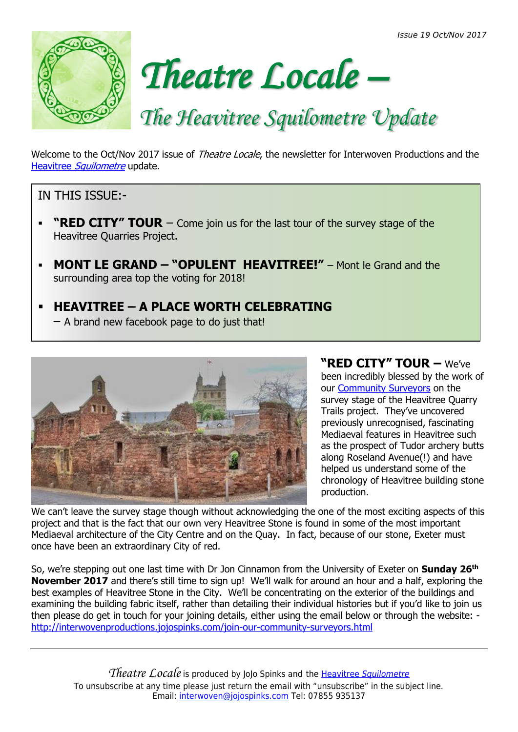*Issue 19 Oct/Nov 2017*





# *The Heavitree Squilometre Update*

Welcome to the Oct/Nov 2017 issue of *Theatre Locale*, the newsletter for Interwoven Productions and the Heavitree [Squilometre](http://interwovenproductions.jojospinks.com/) update.

## IN THIS ISSUE:-

- **"RED CITY" TOUR**  $-$  Come join us for the last tour of the survey stage of the Heavitree Quarries Project.
- **MONT LE GRAND – "OPULENT HEAVITREE!"** Mont le Grand and the surrounding area top the voting for 2018!

#### ▪ **HEAVITREE – A PLACE WORTH CELEBRATING** – A brand new facebook page to do just that!



# **"RED CITY" TOUR –** We've

been incredibly blessed by the work of our [Community Surveyors](http://interwovenproductions.jojospinks.com/join-our-community-surveyors.html) on the survey stage of the Heavitree Quarry Trails project. They've uncovered previously unrecognised, fascinating Mediaeval features in Heavitree such as the prospect of Tudor archery butts along Roseland Avenue(!) and have helped us understand some of the chronology of Heavitree building stone production.

We can't leave the survey stage though without acknowledging the one of the most exciting aspects of this project and that is the fact that our own very Heavitree Stone is found in some of the most important Mediaeval architecture of the City Centre and on the Quay. In fact, because of our stone, Exeter must once have been an extraordinary City of red.

So, we're stepping out one last time with Dr Jon Cinnamon from the University of Exeter on **Sunday 26th November 2017** and there's still time to sign up! We'll walk for around an hour and a half, exploring the best examples of Heavitree Stone in the City. We'll be concentrating on the exterior of the buildings and examining the building fabric itself, rather than detailing their individual histories but if you'd like to join us then please do get in touch for your joining details, either using the email below or through the website: <http://interwovenproductions.jojospinks.com/join-our-community-surveyors.html>

*Theatre Locale* is produced by JoJo Spinks and the [Heavitree](http://interwovenproductions.jojospinks.com/) *[Squilometre](http://interwovenproductions.jojospinks.com/)* To unsubscribe at any time please just return the email with "unsubscribe" in the subject line. Email: [interwoven@jojospinks.com](mailto:interwoven@jojospinks.com) Tel: 07855 935137